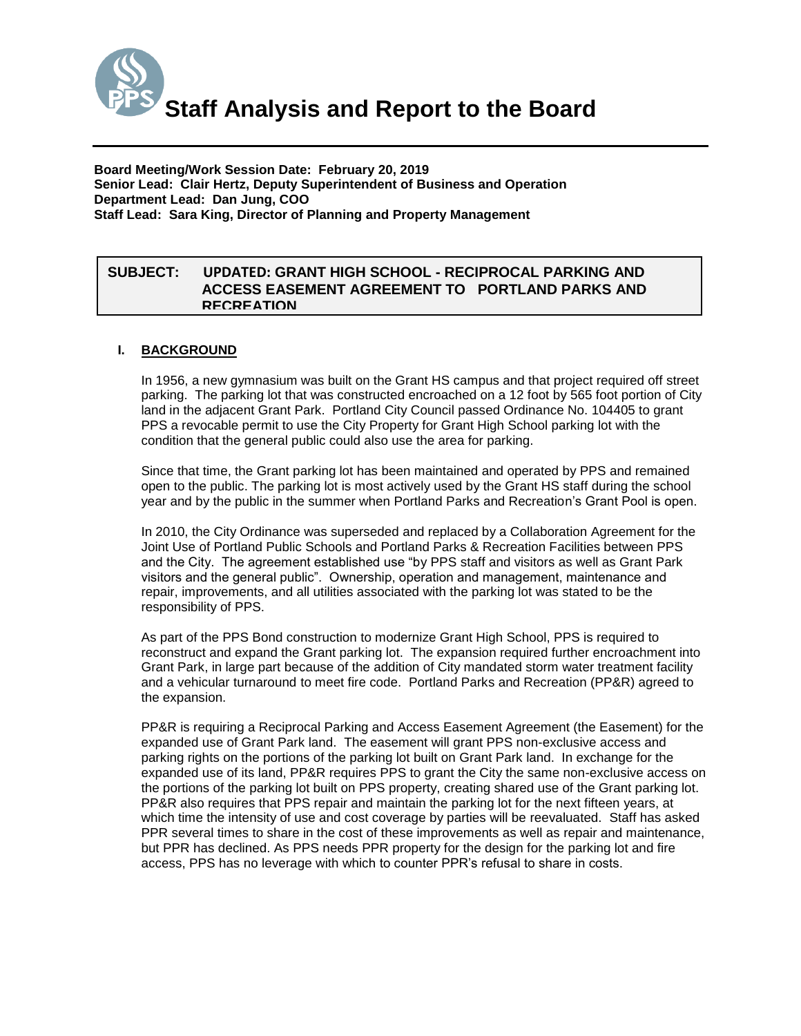

**Board Meeting/Work Session Date: February 20, 2019 Senior Lead: Clair Hertz, Deputy Superintendent of Business and Operation Department Lead: Dan Jung, COO Staff Lead: Sara King, Director of Planning and Property Management**

## *(Use this section to briefly explain the item—2-3 sentences)* **SUBJECT: UPDATED: GRANT HIGH SCHOOL - RECIPROCAL PARKING AND ACCESS EASEMENT AGREEMENT TO PORTLAND PARKS AND RECREATION**

## **I. BACKGROUND**

In 1956, a new gymnasium was built on the Grant HS campus and that project required off street parking. The parking lot that was constructed encroached on a 12 foot by 565 foot portion of City land in the adjacent Grant Park. Portland City Council passed Ordinance No. 104405 to grant PPS a revocable permit to use the City Property for Grant High School parking lot with the condition that the general public could also use the area for parking.

Since that time, the Grant parking lot has been maintained and operated by PPS and remained open to the public. The parking lot is most actively used by the Grant HS staff during the school year and by the public in the summer when Portland Parks and Recreation's Grant Pool is open.

In 2010, the City Ordinance was superseded and replaced by a Collaboration Agreement for the Joint Use of Portland Public Schools and Portland Parks & Recreation Facilities between PPS and the City. The agreement established use "by PPS staff and visitors as well as Grant Park visitors and the general public". Ownership, operation and management, maintenance and repair, improvements, and all utilities associated with the parking lot was stated to be the responsibility of PPS.

As part of the PPS Bond construction to modernize Grant High School, PPS is required to reconstruct and expand the Grant parking lot. The expansion required further encroachment into Grant Park, in large part because of the addition of City mandated storm water treatment facility and a vehicular turnaround to meet fire code. Portland Parks and Recreation (PP&R) agreed to the expansion.

PP&R is requiring a Reciprocal Parking and Access Easement Agreement (the Easement) for the expanded use of Grant Park land. The easement will grant PPS non-exclusive access and parking rights on the portions of the parking lot built on Grant Park land. In exchange for the expanded use of its land, PP&R requires PPS to grant the City the same non-exclusive access on the portions of the parking lot built on PPS property, creating shared use of the Grant parking lot. PP&R also requires that PPS repair and maintain the parking lot for the next fifteen years, at which time the intensity of use and cost coverage by parties will be reevaluated. Staff has asked PPR several times to share in the cost of these improvements as well as repair and maintenance, but PPR has declined. As PPS needs PPR property for the design for the parking lot and fire access, PPS has no leverage with which to counter PPR's refusal to share in costs.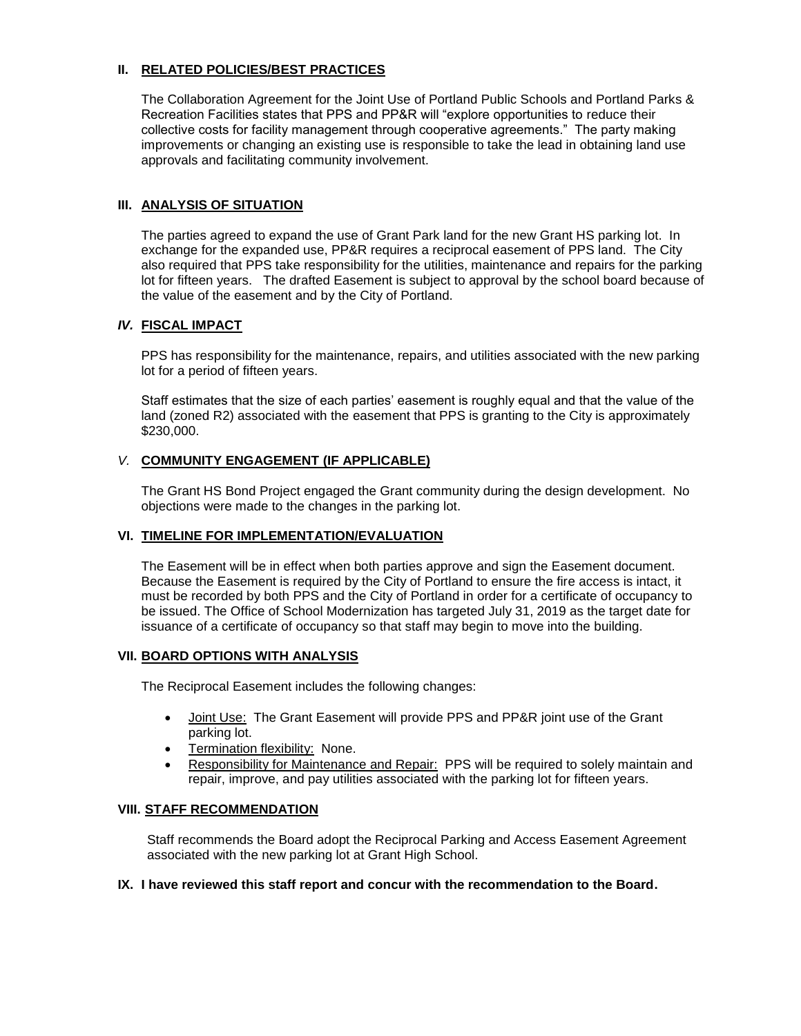## **II. RELATED POLICIES/BEST PRACTICES**

The Collaboration Agreement for the Joint Use of Portland Public Schools and Portland Parks & Recreation Facilities states that PPS and PP&R will "explore opportunities to reduce their collective costs for facility management through cooperative agreements." The party making improvements or changing an existing use is responsible to take the lead in obtaining land use approvals and facilitating community involvement.

### **III. ANALYSIS OF SITUATION**

The parties agreed to expand the use of Grant Park land for the new Grant HS parking lot. In exchange for the expanded use, PP&R requires a reciprocal easement of PPS land. The City also required that PPS take responsibility for the utilities, maintenance and repairs for the parking lot for fifteen years. The drafted Easement is subject to approval by the school board because of the value of the easement and by the City of Portland.

#### *IV.* **FISCAL IMPACT**

PPS has responsibility for the maintenance, repairs, and utilities associated with the new parking lot for a period of fifteen years.

Staff estimates that the size of each parties' easement is roughly equal and that the value of the land (zoned R2) associated with the easement that PPS is granting to the City is approximately \$230,000.

## *V.* **COMMUNITY ENGAGEMENT (IF APPLICABLE)**

The Grant HS Bond Project engaged the Grant community during the design development. No objections were made to the changes in the parking lot.

#### **VI. TIMELINE FOR IMPLEMENTATION/EVALUATION**

The Easement will be in effect when both parties approve and sign the Easement document. Because the Easement is required by the City of Portland to ensure the fire access is intact, it must be recorded by both PPS and the City of Portland in order for a certificate of occupancy to be issued. The Office of School Modernization has targeted July 31, 2019 as the target date for issuance of a certificate of occupancy so that staff may begin to move into the building.

#### **VII. BOARD OPTIONS WITH ANALYSIS**

The Reciprocal Easement includes the following changes:

- Joint Use: The Grant Easement will provide PPS and PP&R joint use of the Grant parking lot.
- Termination flexibility: None.
- Responsibility for Maintenance and Repair: PPS will be required to solely maintain and repair, improve, and pay utilities associated with the parking lot for fifteen years.

#### **VIII. STAFF RECOMMENDATION**

Staff recommends the Board adopt the Reciprocal Parking and Access Easement Agreement associated with the new parking lot at Grant High School.

#### **IX. I have reviewed this staff report and concur with the recommendation to the Board.**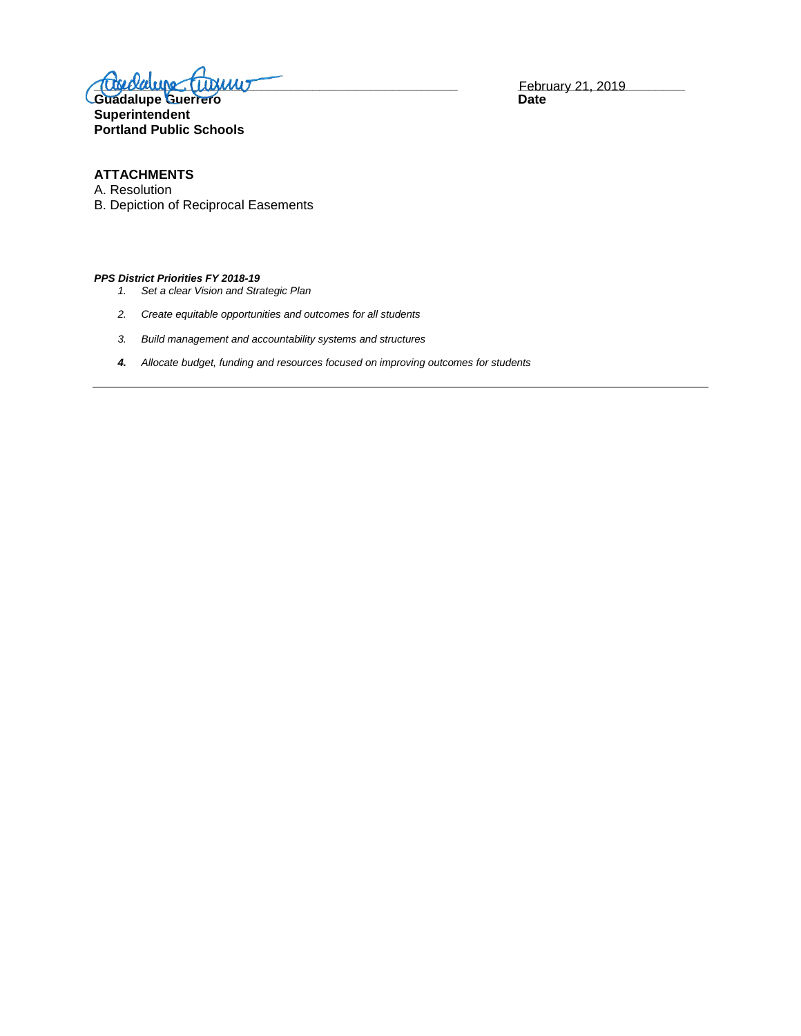$\frac{1}{2}$   $\frac{1}{2}$   $\frac{1}{2}$   $\frac{1}{2}$   $\frac{1}{2}$   $\frac{1}{2}$   $\frac{1}{2}$   $\frac{1}{2}$   $\frac{1}{2}$   $\frac{1}{2}$   $\frac{1}{2}$   $\frac{1}{2}$   $\frac{1}{2}$   $\frac{1}{2}$   $\frac{1}{2}$   $\frac{1}{2}$   $\frac{1}{2}$   $\frac{1}{2}$   $\frac{1}{2}$   $\frac{1}{2}$   $\frac{1}{2}$   $\frac{1}{2}$ 

Guadalupe Guerr<del>er</del>o **Date Superintendent Portland Public Schools**

February 21, 2019<br>Date

## **ATTACHMENTS**

A. Resolution

B. Depiction of Reciprocal Easements

#### *PPS District Priorities FY 2018-19*

- *1. Set a clear Vision and Strategic Plan*
- *2. Create equitable opportunities and outcomes for all students*
- *3. Build management and accountability systems and structures*
- *4. Allocate budget, funding and resources focused on improving outcomes for students*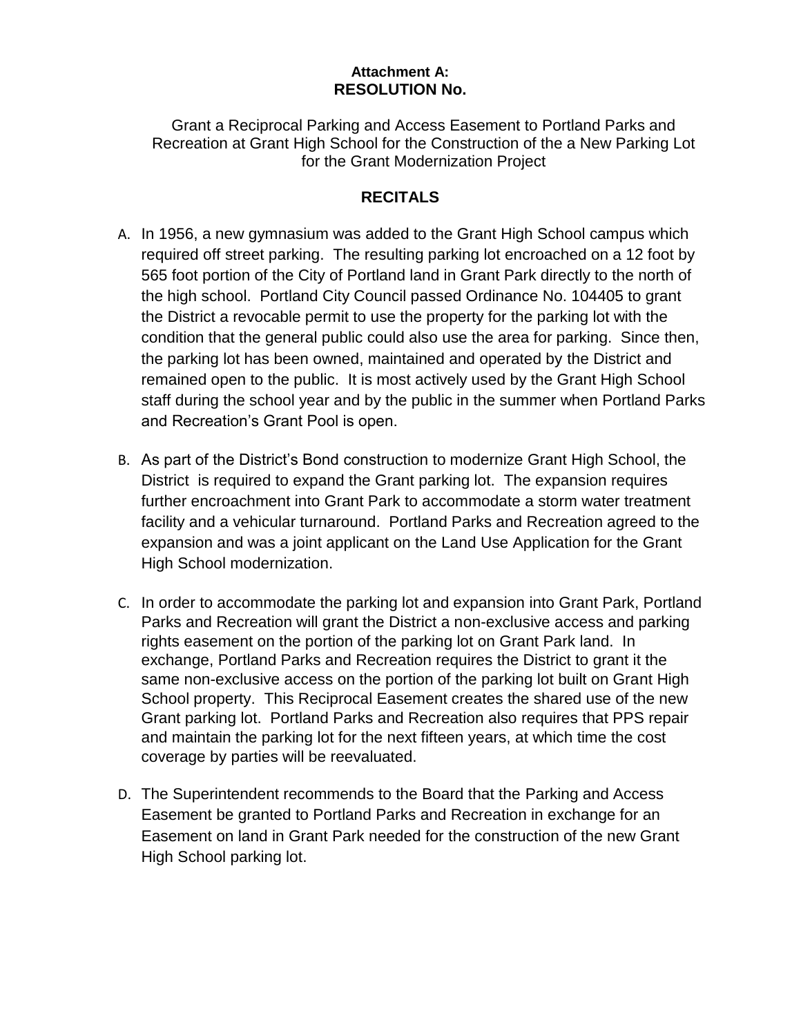## **Attachment A: RESOLUTION No.**

Grant a Reciprocal Parking and Access Easement to Portland Parks and Recreation at Grant High School for the Construction of the a New Parking Lot for the Grant Modernization Project

# **RECITALS**

- A. In 1956, a new gymnasium was added to the Grant High School campus which required off street parking. The resulting parking lot encroached on a 12 foot by 565 foot portion of the City of Portland land in Grant Park directly to the north of the high school. Portland City Council passed Ordinance No. 104405 to grant the District a revocable permit to use the property for the parking lot with the condition that the general public could also use the area for parking. Since then, the parking lot has been owned, maintained and operated by the District and remained open to the public. It is most actively used by the Grant High School staff during the school year and by the public in the summer when Portland Parks and Recreation's Grant Pool is open.
- B. As part of the District's Bond construction to modernize Grant High School, the District is required to expand the Grant parking lot. The expansion requires further encroachment into Grant Park to accommodate a storm water treatment facility and a vehicular turnaround. Portland Parks and Recreation agreed to the expansion and was a joint applicant on the Land Use Application for the Grant High School modernization.
- C. In order to accommodate the parking lot and expansion into Grant Park, Portland Parks and Recreation will grant the District a non-exclusive access and parking rights easement on the portion of the parking lot on Grant Park land. In exchange, Portland Parks and Recreation requires the District to grant it the same non-exclusive access on the portion of the parking lot built on Grant High School property. This Reciprocal Easement creates the shared use of the new Grant parking lot. Portland Parks and Recreation also requires that PPS repair and maintain the parking lot for the next fifteen years, at which time the cost coverage by parties will be reevaluated.
- D. The Superintendent recommends to the Board that the Parking and Access Easement be granted to Portland Parks and Recreation in exchange for an Easement on land in Grant Park needed for the construction of the new Grant High School parking lot.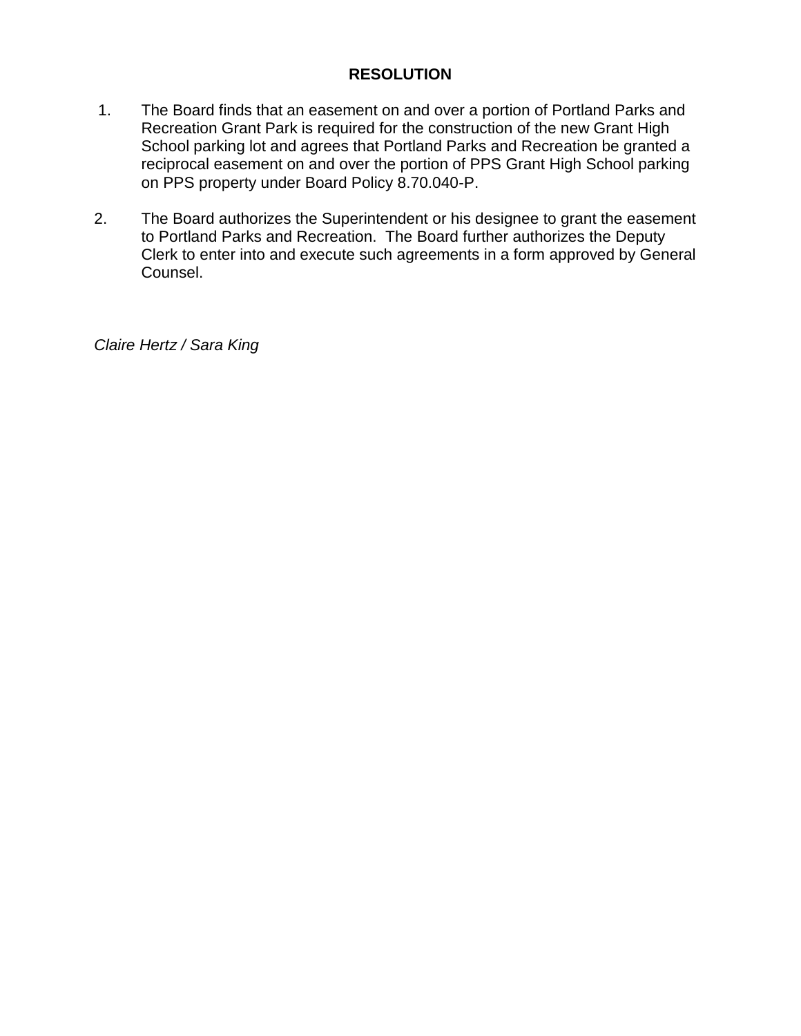## **RESOLUTION**

- 1. The Board finds that an easement on and over a portion of Portland Parks and Recreation Grant Park is required for the construction of the new Grant High School parking lot and agrees that Portland Parks and Recreation be granted a reciprocal easement on and over the portion of PPS Grant High School parking on PPS property under Board Policy 8.70.040-P.
- 2. The Board authorizes the Superintendent or his designee to grant the easement to Portland Parks and Recreation. The Board further authorizes the Deputy Clerk to enter into and execute such agreements in a form approved by General Counsel.

*Claire Hertz / Sara King*